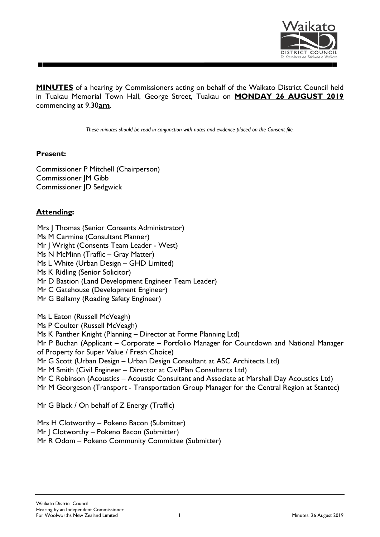

**MINUTES** of a hearing by Commissioners acting on behalf of the Waikato District Council held in Tuakau Memorial Town Hall, George Street, Tuakau on **MONDAY 26 AUGUST 2019** commencing at 9.30**am**.

*These minutes should be read in conjunction with notes and evidence placed on the Consent file.*

## **Present:**

Commissioner P Mitchell (Chairperson) Commissioner JM Gibb Commissioner JD Sedgwick

# **Attending:**

Mrs | Thomas (Senior Consents Administrator) Ms M Carmine (Consultant Planner) Mr J Wright (Consents Team Leader - West) Ms N McMinn (Traffic – Gray Matter) Ms L White (Urban Design – GHD Limited) Ms K Ridling (Senior Solicitor) Mr D Bastion (Land Development Engineer Team Leader) Mr C Gatehouse (Development Engineer) Mr G Bellamy (Roading Safety Engineer) Ms L Eaton (Russell McVeagh) Ms P Coulter (Russell McVeagh) Ms K Panther Knight (Planning – Director at Forme Planning Ltd) Mr P Buchan (Applicant – Corporate – Portfolio Manager for Countdown and National Manager of Property for Super Value / Fresh Choice) Mr G Scott (Urban Design – Urban Design Consultant at ASC Architects Ltd) Mr M Smith (Civil Engineer – Director at CivilPlan Consultants Ltd) Mr C Robinson (Acoustics – Acoustic Consultant and Associate at Marshall Day Acoustics Ltd) Mr M Georgeson (Transport - Transportation Group Manager for the Central Region at Stantec)

Mr G Black / On behalf of Z Energy (Traffic)

Mrs H Clotworthy – Pokeno Bacon (Submitter) Mr | Clotworthy – Pokeno Bacon (Submitter) Mr R Odom – Pokeno Community Committee (Submitter)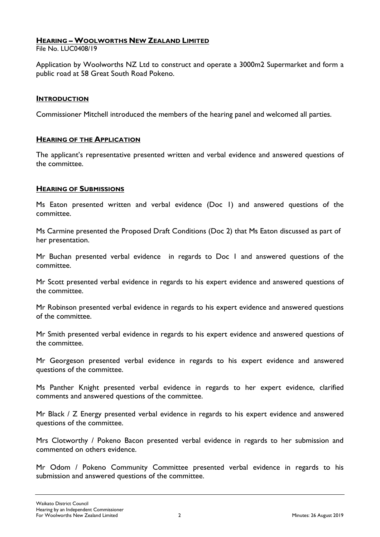## **HEARING – WOOLWORTHS NEW ZEALAND LIMITED**

File No. LUC0408/19

Application by Woolworths NZ Ltd to construct and operate a 3000m2 Supermarket and form a public road at 58 Great South Road Pokeno.

#### **INTRODUCTION**

Commissioner Mitchell introduced the members of the hearing panel and welcomed all parties.

### **HEARING OF THE APPLICATION**

The applicant's representative presented written and verbal evidence and answered questions of the committee.

### **HEARING OF SUBMISSIONS**

Ms Eaton presented written and verbal evidence (Doc 1) and answered questions of the committee.

Ms Carmine presented the Proposed Draft Conditions (Doc 2) that Ms Eaton discussed as part of her presentation.

Mr Buchan presented verbal evidence in regards to Doc 1 and answered questions of the committee.

Mr Scott presented verbal evidence in regards to his expert evidence and answered questions of the committee.

Mr Robinson presented verbal evidence in regards to his expert evidence and answered questions of the committee.

Mr Smith presented verbal evidence in regards to his expert evidence and answered questions of the committee.

Mr Georgeson presented verbal evidence in regards to his expert evidence and answered questions of the committee.

Ms Panther Knight presented verbal evidence in regards to her expert evidence, clarified comments and answered questions of the committee.

Mr Black / Z Energy presented verbal evidence in regards to his expert evidence and answered questions of the committee.

Mrs Clotworthy / Pokeno Bacon presented verbal evidence in regards to her submission and commented on others evidence.

Mr Odom / Pokeno Community Committee presented verbal evidence in regards to his submission and answered questions of the committee.